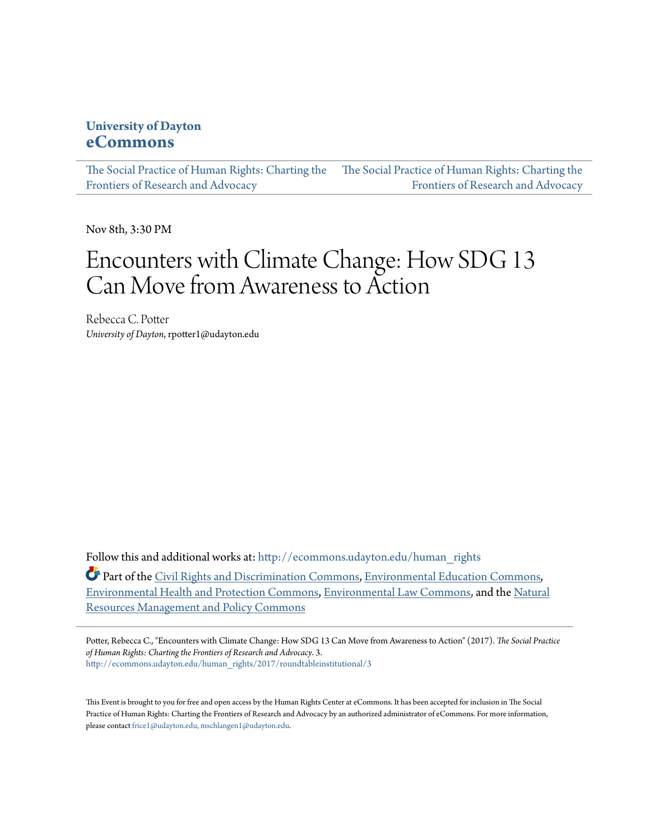### **University of Dayton [eCommons](http://ecommons.udayton.edu?utm_source=ecommons.udayton.edu%2Fhuman_rights%2F2017%2Froundtableinstitutional%2F3&utm_medium=PDF&utm_campaign=PDFCoverPages)**

[The Social Practice of Human Rights: Charting the](http://ecommons.udayton.edu/human_rights?utm_source=ecommons.udayton.edu%2Fhuman_rights%2F2017%2Froundtableinstitutional%2F3&utm_medium=PDF&utm_campaign=PDFCoverPages) [The Social Practice of Human Rights: Charting the](http://ecommons.udayton.edu/human_rights/2017?utm_source=ecommons.udayton.edu%2Fhuman_rights%2F2017%2Froundtableinstitutional%2F3&utm_medium=PDF&utm_campaign=PDFCoverPages) [Frontiers of Research and Advocacy](http://ecommons.udayton.edu/human_rights?utm_source=ecommons.udayton.edu%2Fhuman_rights%2F2017%2Froundtableinstitutional%2F3&utm_medium=PDF&utm_campaign=PDFCoverPages) [Frontiers of Research and Advocacy](http://ecommons.udayton.edu/human_rights/2017?utm_source=ecommons.udayton.edu%2Fhuman_rights%2F2017%2Froundtableinstitutional%2F3&utm_medium=PDF&utm_campaign=PDFCoverPages)

Nov 8th, 3:30 PM

# Encounters with Climate Change: How SDG 13 Can Move from Awareness to Action

Rebecca C. Potter *University of Dayton*, rpotter1@udayton.edu

Follow this and additional works at: [http://ecommons.udayton.edu/human\\_rights](http://ecommons.udayton.edu/human_rights?utm_source=ecommons.udayton.edu%2Fhuman_rights%2F2017%2Froundtableinstitutional%2F3&utm_medium=PDF&utm_campaign=PDFCoverPages)

Part of the [Civil Rights and Discrimination Commons,](http://network.bepress.com/hgg/discipline/585?utm_source=ecommons.udayton.edu%2Fhuman_rights%2F2017%2Froundtableinstitutional%2F3&utm_medium=PDF&utm_campaign=PDFCoverPages) [Environmental Education Commons](http://network.bepress.com/hgg/discipline/1305?utm_source=ecommons.udayton.edu%2Fhuman_rights%2F2017%2Froundtableinstitutional%2F3&utm_medium=PDF&utm_campaign=PDFCoverPages), [Environmental Health and Protection Commons](http://network.bepress.com/hgg/discipline/172?utm_source=ecommons.udayton.edu%2Fhuman_rights%2F2017%2Froundtableinstitutional%2F3&utm_medium=PDF&utm_campaign=PDFCoverPages), [Environmental Law Commons,](http://network.bepress.com/hgg/discipline/599?utm_source=ecommons.udayton.edu%2Fhuman_rights%2F2017%2Froundtableinstitutional%2F3&utm_medium=PDF&utm_campaign=PDFCoverPages) and the [Natural](http://network.bepress.com/hgg/discipline/170?utm_source=ecommons.udayton.edu%2Fhuman_rights%2F2017%2Froundtableinstitutional%2F3&utm_medium=PDF&utm_campaign=PDFCoverPages) [Resources Management and Policy Commons](http://network.bepress.com/hgg/discipline/170?utm_source=ecommons.udayton.edu%2Fhuman_rights%2F2017%2Froundtableinstitutional%2F3&utm_medium=PDF&utm_campaign=PDFCoverPages)

Potter, Rebecca C., "Encounters with Climate Change: How SDG 13 Can Move from Awareness to Action" (2017). *The Social Practice of Human Rights: Charting the Frontiers of Research and Advocacy*. 3. [http://ecommons.udayton.edu/human\\_rights/2017/roundtableinstitutional/3](http://ecommons.udayton.edu/human_rights/2017/roundtableinstitutional/3?utm_source=ecommons.udayton.edu%2Fhuman_rights%2F2017%2Froundtableinstitutional%2F3&utm_medium=PDF&utm_campaign=PDFCoverPages)

This Event is brought to you for free and open access by the Human Rights Center at eCommons. It has been accepted for inclusion in The Social Practice of Human Rights: Charting the Frontiers of Research and Advocacy by an authorized administrator of eCommons. For more information, please contact [frice1@udayton.edu, mschlangen1@udayton.edu.](mailto:frice1@udayton.edu,%20mschlangen1@udayton.edu)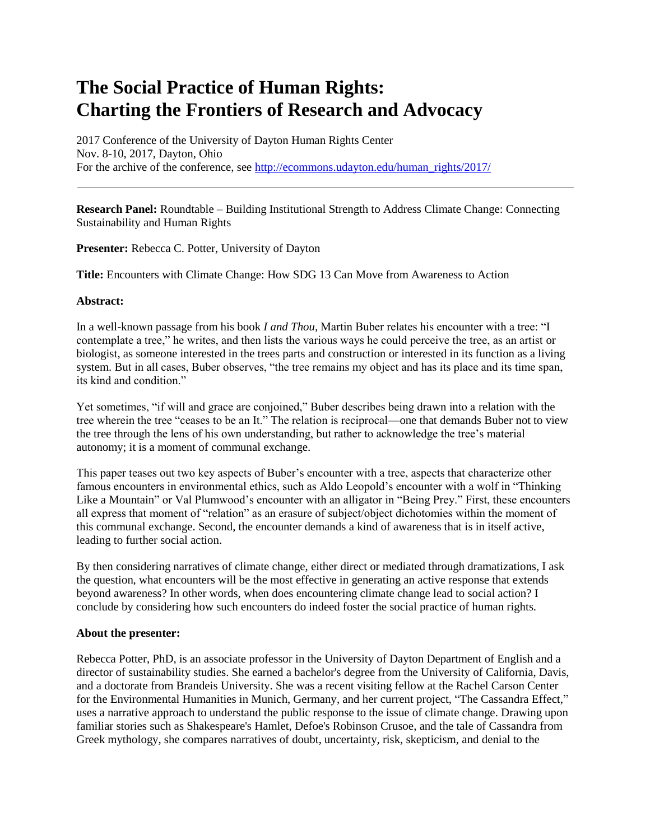## **The Social Practice of Human Rights: Charting the Frontiers of Research and Advocacy**

2017 Conference of the University of Dayton Human Rights Center Nov. 8-10, 2017, Dayton, Ohio For the archive of the conference, see [http://ecommons.udayton.edu/human\\_rights/2017/](http://ecommons.udayton.edu/human_rights/2017/)

**Research Panel:** Roundtable – Building Institutional Strength to Address Climate Change: Connecting Sustainability and Human Rights

**Presenter:** Rebecca C. Potter, University of Dayton

**Title:** Encounters with Climate Change: How SDG 13 Can Move from Awareness to Action

### **Abstract:**

In a well-known passage from his book *I and Thou,* Martin Buber relates his encounter with a tree: "I contemplate a tree," he writes, and then lists the various ways he could perceive the tree, as an artist or biologist, as someone interested in the trees parts and construction or interested in its function as a living system. But in all cases, Buber observes, "the tree remains my object and has its place and its time span, its kind and condition."

Yet sometimes, "if will and grace are conjoined," Buber describes being drawn into a relation with the tree wherein the tree "ceases to be an It." The relation is reciprocal—one that demands Buber not to view the tree through the lens of his own understanding, but rather to acknowledge the tree's material autonomy; it is a moment of communal exchange.

This paper teases out two key aspects of Buber's encounter with a tree, aspects that characterize other famous encounters in environmental ethics, such as Aldo Leopold's encounter with a wolf in "Thinking Like a Mountain" or Val Plumwood's encounter with an alligator in "Being Prey." First, these encounters all express that moment of "relation" as an erasure of subject/object dichotomies within the moment of this communal exchange. Second, the encounter demands a kind of awareness that is in itself active, leading to further social action.

By then considering narratives of climate change, either direct or mediated through dramatizations, I ask the question, what encounters will be the most effective in generating an active response that extends beyond awareness? In other words, when does encountering climate change lead to social action? I conclude by considering how such encounters do indeed foster the social practice of human rights.

#### **About the presenter:**

Rebecca Potter, PhD, is an associate professor in the University of Dayton Department of English and a director of sustainability studies. She earned a bachelor's degree from the University of California, Davis, and a doctorate from Brandeis University. She was a recent visiting fellow at the Rachel Carson Center for the Environmental Humanities in Munich, Germany, and her current project, "The Cassandra Effect," uses a narrative approach to understand the public response to the issue of climate change. Drawing upon familiar stories such as Shakespeare's Hamlet, Defoe's Robinson Crusoe, and the tale of Cassandra from Greek mythology, she compares narratives of doubt, uncertainty, risk, skepticism, and denial to the